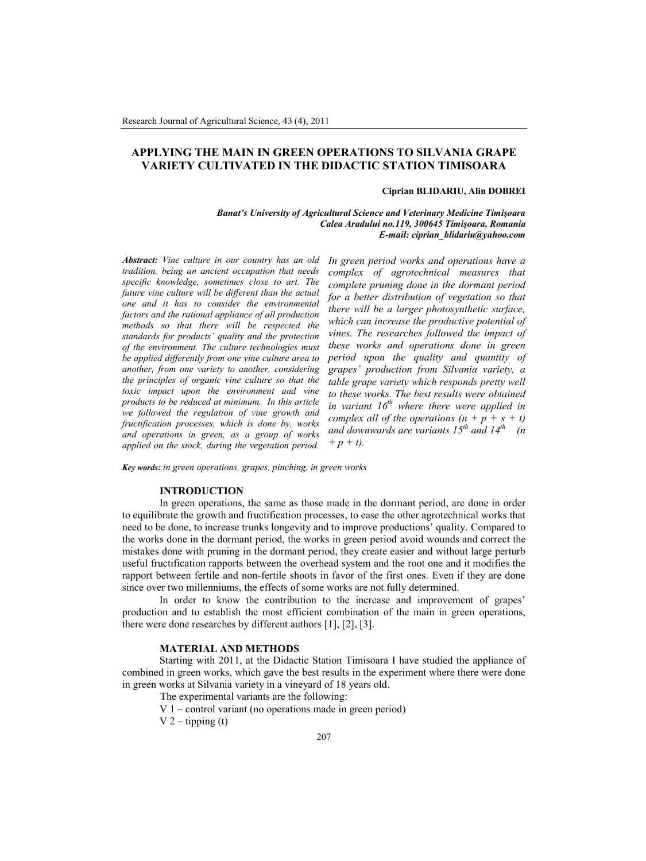# **APPLYING THE MAIN IN GREEN OPERATIONS TO SILVANIA GRAPE VARIETY CULTIVATED IN THE DIDACTIC STATION TIMISOARA**

### **Ciprian BLIDARIU, Alin DOBREI**

*Banat's University of Agricultural Science and Veterinary Medicine Timişoara Calea Aradului no.119, 300645 Timişoara, Romania E-mail: ciprian\_blidariu@yahoo.com*

*Abstract: Vine culture in our country has an old tradition, being an ancient occupation that needs specific knowledge, sometimes close to art. The future vine culture will be different than the actual one and it has to consider the environmental factors and the rational appliance of all production methods so that there will be respected the standards for products' quality and the protection of the environment. The culture technologies must be applied differently from one vine culture area to another, from one variety to another, considering the principles of organic vine culture so that the toxic impact upon the environment and vine products to be reduced at minimum. In this article we followed the regulation of vine growth and fructification processes, which is done by, works and operations in green, as a group of works applied on the stock, during the vegetation period.*

*In green period works and operations have a complex of agrotechnical measures that complete pruning done in the dormant period for a better distribution of vegetation so that there will be a larger photosynthetic surface, which can increase the productive potential of vines. The researches followed the impact of these works and operations done in green period upon the quality and quantity of grapes' production from Silvania variety, a table grape variety which responds pretty well to these works. The best results were obtained in variant 16th where there were applied in complex all of the operations*  $(n + p + s + t)$ *and downwards are variants 15th and 14th (n + p + t).*

*Key words: in green operations, grapes, pinching, in green works*

### **INTRODUCTION**

In green operations, the same as those made in the dormant period, are done in order to equilibrate the growth and fructification processes, to ease the other agrotechnical works that need to be done, to increase trunks longevity and to improve productions' quality. Compared to the works done in the dormant period, the works in green period avoid wounds and correct the mistakes done with pruning in the dormant period, they create easier and without large perturb useful fructification rapports between the overhead system and the root one and it modifies the rapport between fertile and non-fertile shoots in favor of the first ones. Even if they are done since over two millenniums, the effects of some works are not fully determined.

In order to know the contribution to the increase and improvement of grapes' production and to establish the most efficient combination of the main in green operations, there were done researches by different authors [1], [2], [3].

#### **MATERIAL AND METHODS**

Starting with 2011, at the Didactic Station Timisoara I have studied the appliance of combined in green works, which gave the best results in the experiment where there were done in green works at Silvania variety in a vineyard of 18 years old.

The experimental variants are the following:

V 1 – control variant (no operations made in green period)  $V$  2 – tipping (t)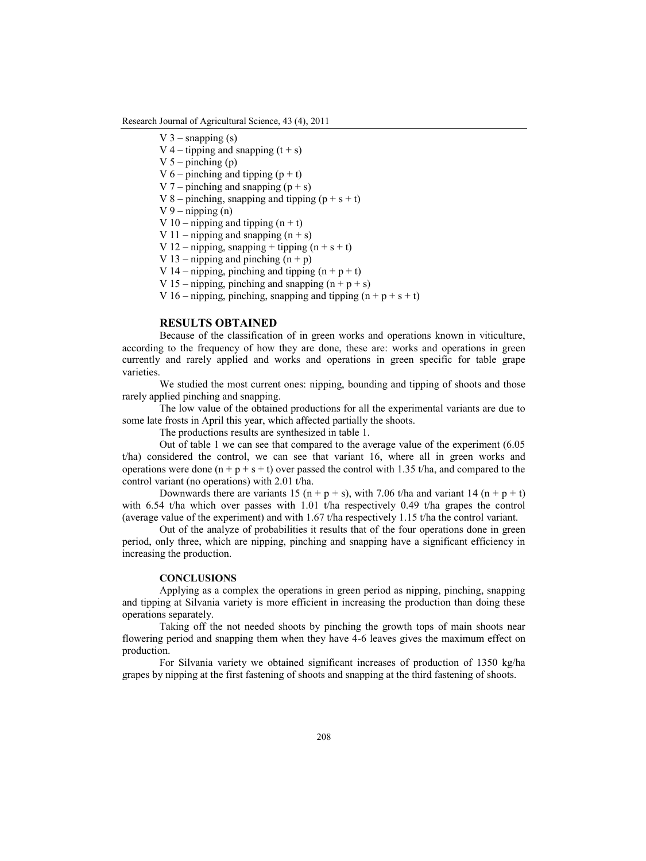Research Journal of Agricultural Science, 43 (4), 2011

- V  $3$  snapping  $(s)$
- V 4 tipping and snapping  $(t + s)$
- $V$  5 pinching (p)
- V 6 pinching and tipping  $(p + t)$
- V 7 pinching and snapping  $(p + s)$
- V 8 pinching, snapping and tipping  $(p + s + t)$
- $V_9$  nipping (n)
- V 10 nipping and tipping  $(n + t)$
- V 11 nipping and snapping  $(n + s)$
- V 12 nipping, snapping + tipping  $(n + s + t)$
- V 13 nipping and pinching  $(n + p)$
- V 14 nipping, pinching and tipping  $(n + p + t)$
- V 15 nipping, pinching and snapping  $(n + p + s)$
- V 16 nipping, pinching, snapping and tipping  $(n + p + s + t)$

# **RESULTS OBTAINED**

Because of the classification of in green works and operations known in viticulture, according to the frequency of how they are done, these are: works and operations in green currently and rarely applied and works and operations in green specific for table grape varieties.

We studied the most current ones: nipping, bounding and tipping of shoots and those rarely applied pinching and snapping.

The low value of the obtained productions for all the experimental variants are due to some late frosts in April this year, which affected partially the shoots.

The productions results are synthesized in table 1.

Out of table 1 we can see that compared to the average value of the experiment (6.05 t/ha) considered the control, we can see that variant 16, where all in green works and operations were done  $(n + p + s + t)$  over passed the control with 1.35 t/ha, and compared to the control variant (no operations) with 2.01 t/ha.

Downwards there are variants 15 (n + p + s), with 7.06 t/ha and variant 14 (n + p + t) with 6.54 t/ha which over passes with 1.01 t/ha respectively 0.49 t/ha grapes the control (average value of the experiment) and with 1.67 t/ha respectively 1.15 t/ha the control variant.

Out of the analyze of probabilities it results that of the four operations done in green period, only three, which are nipping, pinching and snapping have a significant efficiency in increasing the production.

## **CONCLUSIONS**

Applying as a complex the operations in green period as nipping, pinching, snapping and tipping at Silvania variety is more efficient in increasing the production than doing these operations separately.

Taking off the not needed shoots by pinching the growth tops of main shoots near flowering period and snapping them when they have 4-6 leaves gives the maximum effect on production.

For Silvania variety we obtained significant increases of production of 1350 kg/ha grapes by nipping at the first fastening of shoots and snapping at the third fastening of shoots.